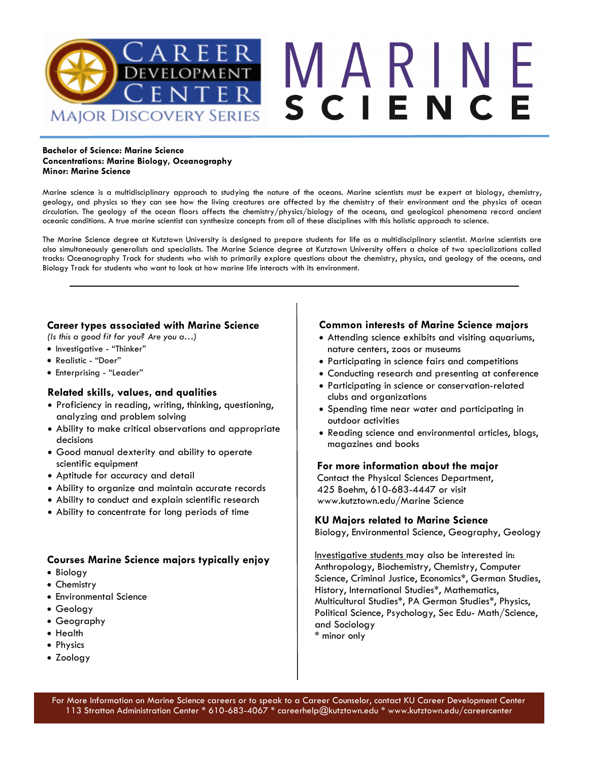

#### **Bachelor of Science: Marine Science Concentrations: Marine Biology, Oceanography Minor: Marine Science**

Marine science is a multidisciplinary approach to studying the nature of the oceans. Marine scientists must be expert at biology, chemistry, geology, and physics so they can see how the living creatures are affected by the chemistry of their environment and the physics of ocean circulation. The geology of the ocean floors affects the chemistry/physics/biology of the oceans, and geological phenomena record ancient oceanic conditions. A true marine scientist can synthesize concepts from all of these disciplines with this holistic approach to science.

The Marine Science degree at Kutztown University is designed to prepare students for life as a multidisciplinary scientist. Marine scientists are also simultaneously generalists and specialists. The Marine Science degree at Kutztown University offers a choice of two specializations called tracks: Oceanography Track for students who wish to primarily explore questions about the chemistry, physics, and geology of the oceans, and Biology Track for students who want to look at how marine life interacts with its environment.

# **Career types associated with Marine Science**

*(Is this a good fit for you? Are you a…)* 

- Investigative "Thinker"
- Realistic "Doer"
- Enterprising "Leader"

# **Related skills, values, and qualities**

- Proficiency in reading, writing, thinking, questioning, analyzing and problem solving
- Ability to make critical observations and appropriate decisions
- Good manual dexterity and ability to operate scientific equipment
- Aptitude for accuracy and detail
- Ability to organize and maintain accurate records
- Ability to conduct and explain scientific research
- Ability to concentrate for long periods of time

# **Courses Marine Science majors typically enjoy**

- Biology
- Chemistry
- Environmental Science
- Geology
- Geography
- Health
- Physics
- Zoology

# **Common interests of Marine Science majors**

- Attending science exhibits and visiting aquariums, nature centers, zoos or museums
- Participating in science fairs and competitions
- Conducting research and presenting at conference
- Participating in science or conservation-related clubs and organizations
- Spending time near water and participating in outdoor activities
- Reading science and environmental articles, blogs, magazines and books

## **For more information about the major**

Contact the Physical Sciences Department, 425 Boehm, 610-683-4447 or visit www.kutztown.edu/Marine Science

## **KU Majors related to Marine Science**

Biology, Environmental Science, Geography, Geology

Investigative students may also be interested in: Anthropology, Biochemistry, Chemistry, Computer Science, Criminal Justice, Economics\*, German Studies, History, International Studies\*, Mathematics, Multicultural Studies\*, PA German Studies\*, Physics, Political Science, Psychology, Sec Edu- Math/Science, and Sociology \* minor only

For More Information on Marine Science careers or to speak to a Career Counselor, contact KU Career Development Center 113 Stratton Administration Center \* 610-683-4067 \* careerhelp@kutztown.edu \* www.kutztown.edu/careercenter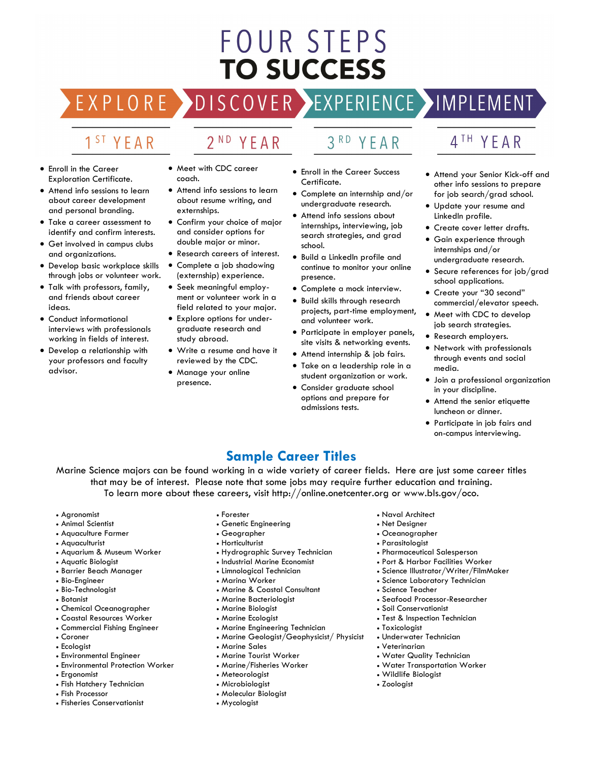# FOUR STEPS **TO SUCCESS**

# DISCOVER EXPERIENCE MOPLEMENT

2<sup>ND</sup> YEAR

# 1<sup>ST</sup> YEAR

EXPLORE >

- Enroll in the Career Exploration Certificate.
- Attend info sessions to learn about career development and personal branding.
- Take a career assessment to identify and confirm interests.
- Get involved in campus clubs and organizations.
- Develop basic workplace skills through jobs or volunteer work.
- Talk with professors, family, and friends about career ideas.
- Conduct informational interviews with professionals working in fields of interest.
- Develop a relationship with your professors and faculty advisor.
- Meet with CDC career coach.
- Attend info sessions to learn about resume writing, and externships.
- Confirm your choice of major and consider options for double major or minor.
- Research careers of interest.
- Complete a job shadowing (externship) experience.
- Seek meaningful employment or volunteer work in a field related to your major.
- Explore options for undergraduate research and study abroad.
- Write a resume and have it reviewed by the CDC.
- Manage your online presence.
- 3RD YEAR
- Enroll in the Career Success Certificate.
- Complete an internship and/or undergraduate research.
- Attend info sessions about internships, interviewing, job search strategies, and grad school.
- Build a LinkedIn profile and continue to monitor your online presence.
- Complete a mock interview.
- Build skills through research projects, part-time employment, and volunteer work.
- Participate in employer panels, site visits & networking events.
- Attend internship & job fairs.
- Take on a leadership role in a student organization or work.
- Consider graduate school options and prepare for admissions tests.

# 4<sup>TH</sup> YEAR

- Attend your Senior Kick-off and other info sessions to prepare for job search/grad school.
- Update your resume and LinkedIn profile.
- Create cover letter drafts.
- Gain experience through internships and/or undergraduate research.
- Secure references for job/grad school applications.
- Create your "30 second" commercial/elevator speech.
- Meet with CDC to develop job search strategies.
- Research employers.
- Network with professionals through events and social media.
- Join a professional organization in your discipline.
- Attend the senior etiquette luncheon or dinner.
- Participate in job fairs and on-campus interviewing.

# **Sample Career Titles**

Marine Science majors can be found working in a wide variety of career fields. Here are just some career titles that may be of interest. Please note that some jobs may require further education and training. To learn more about these careers, visit http://online.onetcenter.org or www.bls.gov/oco.

- Agronomist
- Animal Scientist
- Aquaculture Farmer
- Aquaculturist
- Aquarium & Museum Worker
- Aquatic Biologist
- Barrier Beach Manager
- Bio-Engineer
- Bio-Technologist
- Botanist
- Chemical Oceanographer
- Coastal Resources Worker
- Commercial Fishing Engineer • Coroner
- 
- Ecologist
- Environmental Engineer
- Environmental Protection Worker
- Ergonomist
- Fish Hatchery Technician
- Fish Processor
- Fisheries Conservationist
- Forester
- Genetic Engineering
- Geographer
- Horticulturist
- Hydrographic Survey Technician
- Industrial Marine Economist
- Limnological Technician
- Marina Worker
- Marine & Coastal Consultant
- Marine Bacteriologist
- Marine Biologist • Marine Ecologist
- Marine Engineering Technician
- Marine Geologist/Geophysicist/ Physicist
- Marine Sales
- Marine Tourist Worker
- Marine/Fisheries Worker
- Meteorologist
- Microbiologist
- Molecular Biologist
- Mycologist
- Naval Architect
- Net Designer
- Oceanographer
- Parasitologist
- Pharmaceutical Salesperson
- Port & Harbor Facilities Worker
- Science Illustrator/Writer/FilmMaker
- Science Laboratory Technician
- Science Teacher
- Seafood Processor-Researcher
- Soil Conservationist

• Water Quality Technician • Water Transportation Worker

• Wildlife Biologist • Zoologist

- Test & Inspection Technician
- Toxicologist • Underwater Technician • Veterinarian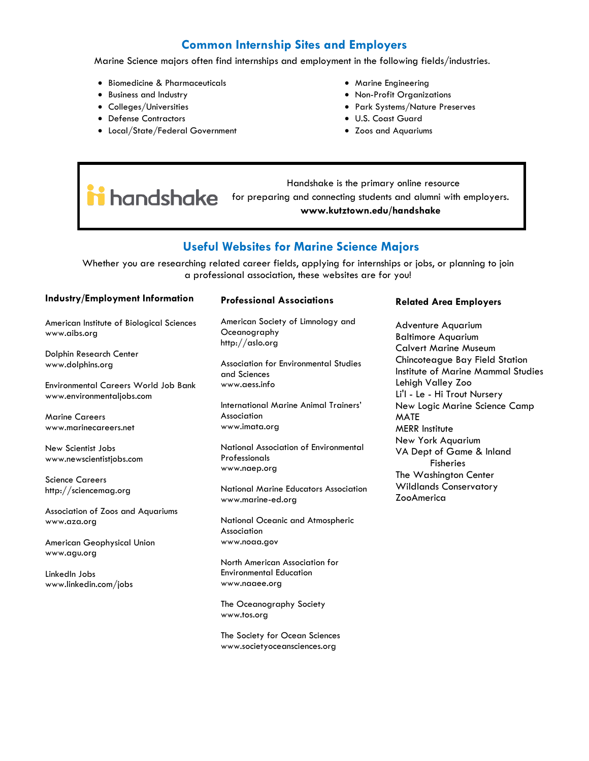# **Common Internship Sites and Employers**

Marine Science majors often find internships and employment in the following fields/industries.

- Biomedicine & Pharmaceuticals
- Business and Industry
- Colleges/Universities
- Defense Contractors
- Local/State/Federal Government
- Marine Engineering
- Non-Profit Organizations
- Park Systems/Nature Preserves
- U.S. Coast Guard
- Zoos and Aquariums

 Handshake is the primary online resource **industriate** is the primarly child research **had alumni** with employers. **www.kutztown.edu/handshake**

# **Useful Websites for Marine Science Majors**

Whether you are researching related career fields, applying for internships or jobs, or planning to join a professional association, these websites are for you!

| <b>Industry/Employment Information</b>                                   | <b>Professional Associations</b>                                                  | <b>Related Area Employers</b>                                                          |
|--------------------------------------------------------------------------|-----------------------------------------------------------------------------------|----------------------------------------------------------------------------------------|
| American Institute of Biological Sciences<br>www.aibs.org                | American Society of Limnology and<br>Oceanography<br>http://aslo.org              | <b>Adventure Aquarium</b><br><b>Baltimore Aquarium</b><br><b>Calvert Marine Museum</b> |
| Dolphin Research Center<br>www.dolphins.org                              | Association for Environmental Studies<br>and Sciences                             | Chincoteague Bay Field Station<br>Institute of Marine Mammal Studies                   |
| <b>Environmental Careers World Job Bank</b><br>www.environmentaljobs.com | www.aess.info<br>International Marine Animal Trainers'                            | Lehigh Valley Zoo<br>Li'l - Le - Hi Trout Nursery<br>New Logic Marine Science Camp     |
| <b>Marine Careers</b><br>www.marinecareers.net                           | Association<br>www.imata.org                                                      | <b>MATE</b><br><b>MERR</b> Institute                                                   |
| New Scientist Jobs<br>www.newscientistjobs.com                           | National Association of Environmental<br>Professionals<br>www.naep.org            | New York Aquarium<br>VA Dept of Game & Inland<br><b>Fisheries</b>                      |
| <b>Science Careers</b><br>http://sciencemag.org                          | <b>National Marine Educators Association</b><br>www.marine-ed.org                 | The Washington Center<br><b>Wildlands Conservatory</b><br><b>ZooAmerica</b>            |
| Association of Zoos and Aquariums                                        |                                                                                   |                                                                                        |
| www.aza.org                                                              | National Oceanic and Atmospheric<br>Association                                   |                                                                                        |
| American Geophysical Union<br>www.agu.org                                | www.noaa.gov                                                                      |                                                                                        |
| LinkedIn Jobs<br>www.linkedin.com/jobs                                   | North American Association for<br><b>Environmental Education</b><br>www.naaee.org |                                                                                        |
|                                                                          | The Oceanography Society<br>www.tos.org                                           |                                                                                        |

The Society for Ocean Sciences www.societyoceansciences.org